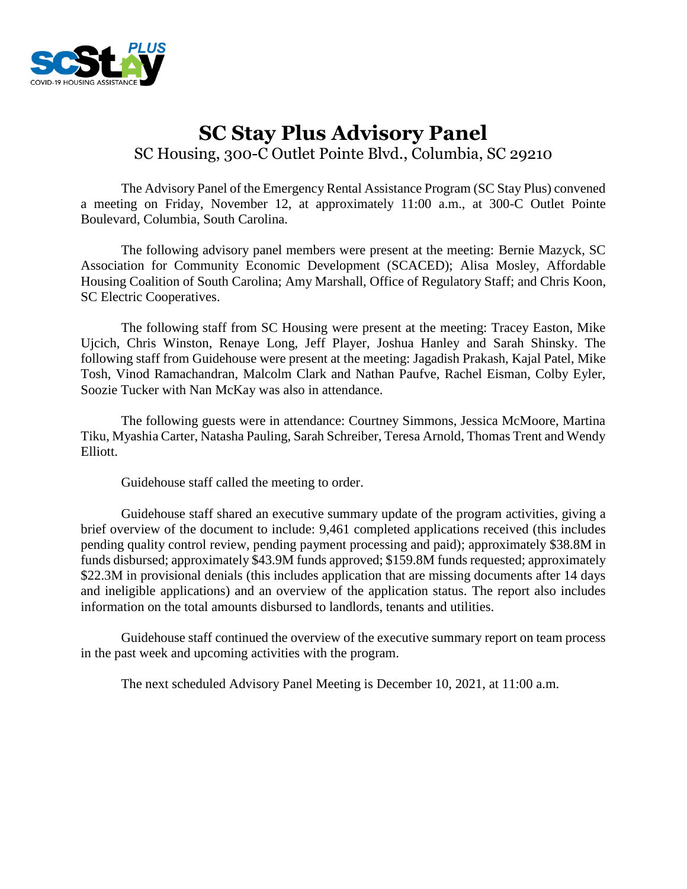

# **SC Stay Plus Advisory Panel** SC Housing, 300-C Outlet Pointe Blvd., Columbia, SC 29210

The Advisory Panel of the Emergency Rental Assistance Program (SC Stay Plus) convened a meeting on Friday, November 12, at approximately 11:00 a.m., at 300-C Outlet Pointe Boulevard, Columbia, South Carolina.

The following advisory panel members were present at the meeting: Bernie Mazyck, SC Association for Community Economic Development (SCACED); Alisa Mosley, Affordable Housing Coalition of South Carolina; Amy Marshall, Office of Regulatory Staff; and Chris Koon, SC Electric Cooperatives.

The following staff from SC Housing were present at the meeting: Tracey Easton, Mike Ujcich, Chris Winston, Renaye Long, Jeff Player, Joshua Hanley and Sarah Shinsky. The following staff from Guidehouse were present at the meeting: Jagadish Prakash, Kajal Patel, Mike Tosh, Vinod Ramachandran, Malcolm Clark and Nathan Paufve, Rachel Eisman, Colby Eyler, Soozie Tucker with Nan McKay was also in attendance.

The following guests were in attendance: Courtney Simmons, Jessica McMoore, Martina Tiku, Myashia Carter, Natasha Pauling, Sarah Schreiber, Teresa Arnold, Thomas Trent and Wendy Elliott.

Guidehouse staff called the meeting to order.

Guidehouse staff shared an executive summary update of the program activities, giving a brief overview of the document to include: 9,461 completed applications received (this includes pending quality control review, pending payment processing and paid); approximately \$38.8M in funds disbursed; approximately \$43.9M funds approved; \$159.8M funds requested; approximately \$22.3M in provisional denials (this includes application that are missing documents after 14 days and ineligible applications) and an overview of the application status. The report also includes information on the total amounts disbursed to landlords, tenants and utilities.

Guidehouse staff continued the overview of the executive summary report on team process in the past week and upcoming activities with the program.

The next scheduled Advisory Panel Meeting is December 10, 2021, at 11:00 a.m.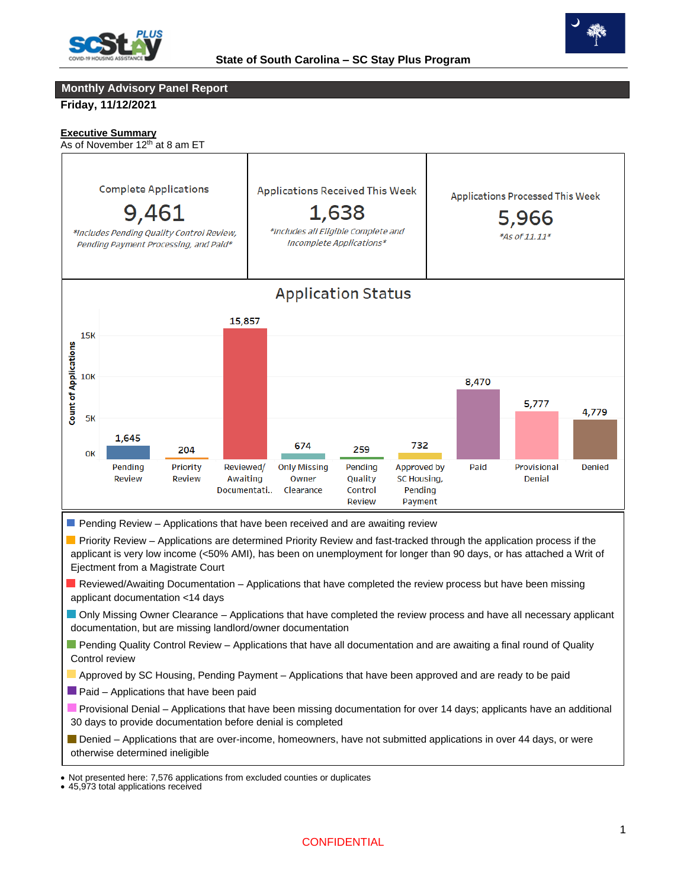



### **Monthly Advisory Panel Report**

**Friday, 11/12/2021**

### **Executive Summary**

As of November 12<sup>th</sup> at 8 am ET



**Priority Review – Applications are determined Priority Review and fast-tracked through the application process if the** applicant is very low income (<50% AMI), has been on unemployment for longer than 90 days, or has attached a Writ of Ejectment from a Magistrate Court

- Reviewed/Awaiting Documentation Applications that have completed the review process but have been missing applicant documentation <14 days
- Only Missing Owner Clearance Applications that have completed the review process and have all necessary applicant documentation, but are missing landlord/owner documentation
- **Pending Quality Control Review Applications that have all documentation and are awaiting a final round of Quality** Control review
- Approved by SC Housing, Pending Payment Applications that have been approved and are ready to be paid
- $\blacksquare$  Paid Applications that have been paid
- **Provisional Denial Applications that have been missing documentation for over 14 days; applicants have an additional** 30 days to provide documentation before denial is completed
- Denied Applications that are over-income, homeowners, have not submitted applications in over 44 days, or were otherwise determined ineligible

 • Not presented here: 7,576 applications from excluded counties or duplicates

<sup>• 45,973</sup> total applications received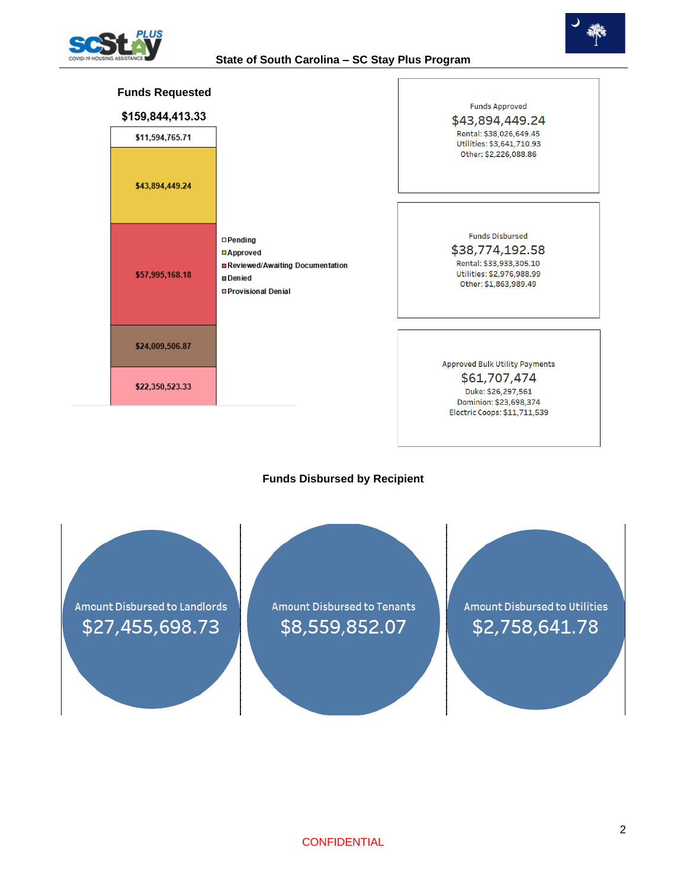



| <b>Funds Requested</b><br>\$159,844,413.33 |                                                                                                              | <b>Funds Approved</b><br>\$43,894,449.24                                                                                   |
|--------------------------------------------|--------------------------------------------------------------------------------------------------------------|----------------------------------------------------------------------------------------------------------------------------|
| \$11,594,765.71                            |                                                                                                              | Rental: \$38,026,649.45<br>Utilities: \$3,641,710.93                                                                       |
| \$43,894,449.24                            |                                                                                                              | Other: \$2,226,088.86                                                                                                      |
|                                            |                                                                                                              |                                                                                                                            |
| \$57,995,168.18                            | $\square$ Pending<br>□Approved<br>Reviewed/Awaiting Documentation<br><b>□</b> Denied<br>□ Provisional Denial | <b>Funds Disbursed</b><br>\$38,774,192.58<br>Rental: \$33,933,305.10<br>Utilities: \$2,976,988.99<br>Other: \$1,863,989.49 |
|                                            |                                                                                                              |                                                                                                                            |
| \$24,009,506.87                            |                                                                                                              | <b>Approved Bulk Utility Payments</b>                                                                                      |
| \$22,350,523.33                            |                                                                                                              | \$61,707,474<br>Duke: \$26,297,561<br>Dominion: \$23,698,374                                                               |
|                                            |                                                                                                              | Electric Coops: \$11,711,539                                                                                               |

# **Funds Disbursed by Recipient**

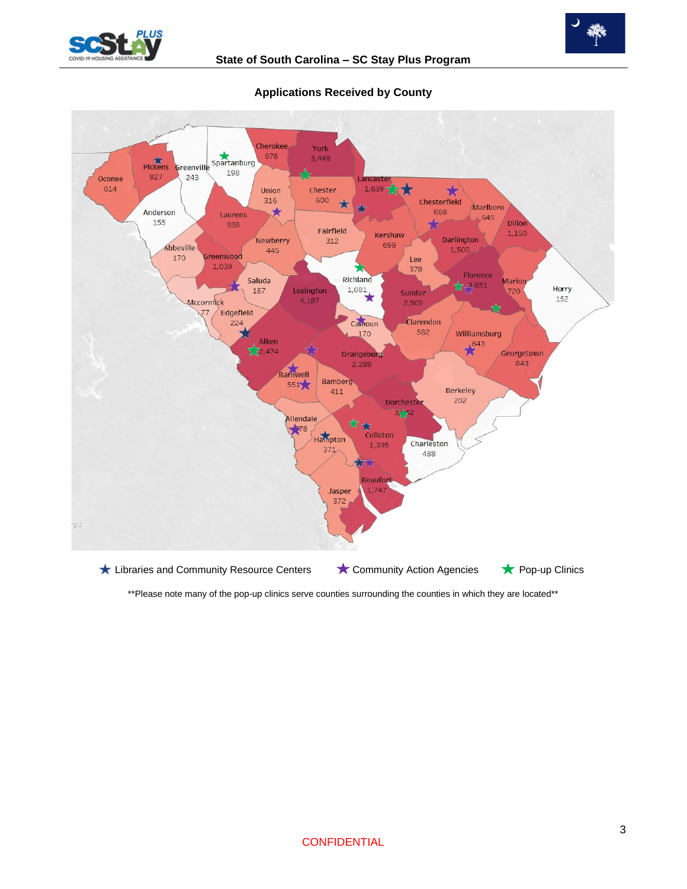



#### **Cherokee** York Spartanburg 976 3.448 Pickens Greenville 198 927 243 Oconee ancaste 614 Union Chester  $1,639$   $7$ ★ 57 316 600 Chesterfield  $\star$ Marlboro Λ ★ Anderson 668 Laurens 645 155 Dillon 938 Fairfield 1,150 Kershaw Newberry 312 Darlington 699 Abbeville 1,500 445 170 ireenwood Lee 1,039 378 Florence Richland Saluda Marion  $7, 6, 851$  $1,081$ Horry 187 Lexington Sumter 720 152 4.187 Mccormick  $2,509$ Edgefield Clarendon 224 Camoun 582 Williamsburg 170 illiamst<br> $\star$ <sup>643</sup>  $\frac{4}{2}$  Aiken Georgetown Orangeburg 843 2,289 Barnwell **Bamberg** 551 **Berkeley** 411 202 **Dorchest**  $3 + 2$ Allendale Ŵ  $+78$ Hampton Colleton Charleston 1,395  $371$ 488 Beaufo 1.747 Jasper 372 gia ★ Libraries and Community Resource Centers ★ Community Action Agencies ★ Pop-up Clinics

**Applications Received by County**

\*\*Please note many of the pop-up clinics serve counties surrounding the counties in which they are located\*\*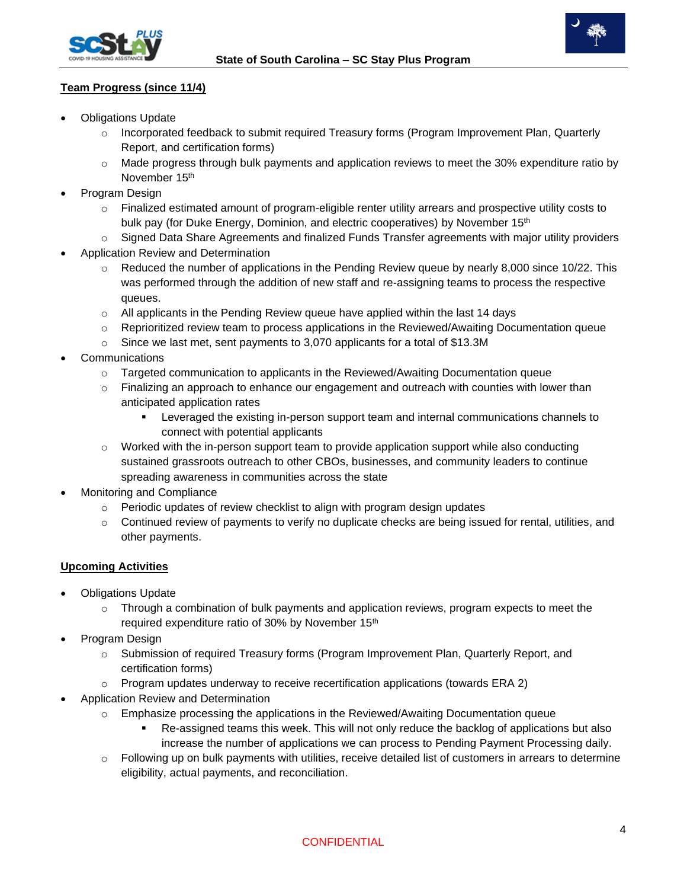



# **Team Progress (since 11/4)**

- Obligations Update
	- $\circ$  Incorporated feedback to submit required Treasury forms (Program Improvement Plan, Quarterly Report, and certification forms)
	- $\circ$  Made progress through bulk payments and application reviews to meet the 30% expenditure ratio by November 15<sup>th</sup>
- Program Design
	- o Finalized estimated amount of program-eligible renter utility arrears and prospective utility costs to bulk pay (for Duke Energy, Dominion, and electric cooperatives) by November 15<sup>th</sup>
	- $\circ$  Signed Data Share Agreements and finalized Funds Transfer agreements with major utility providers
- Application Review and Determination
	- $\circ$  Reduced the number of applications in the Pending Review queue by nearly 8,000 since 10/22. This was performed through the addition of new staff and re-assigning teams to process the respective queues.
	- $\circ$  All applicants in the Pending Review queue have applied within the last 14 days
	- o Reprioritized review team to process applications in the Reviewed/Awaiting Documentation queue
	- o Since we last met, sent payments to 3,070 applicants for a total of \$13.3M
- **Communications** 
	- $\circ$  Targeted communication to applicants in the Reviewed/Awaiting Documentation queue
	- $\circ$  Finalizing an approach to enhance our engagement and outreach with counties with lower than anticipated application rates
		- **EXECT** Leveraged the existing in-person support team and internal communications channels to connect with potential applicants
	- $\circ$  Worked with the in-person support team to provide application support while also conducting sustained grassroots outreach to other CBOs, businesses, and community leaders to continue spreading awareness in communities across the state
- Monitoring and Compliance
	- o Periodic updates of review checklist to align with program design updates
	- $\circ$  Continued review of payments to verify no duplicate checks are being issued for rental, utilities, and other payments.

# **Upcoming Activities**

- Obligations Update
	- o Through a combination of bulk payments and application reviews, program expects to meet the required expenditure ratio of 30% by November 15<sup>th</sup>
- Program Design
	- o Submission of required Treasury forms (Program Improvement Plan, Quarterly Report, and certification forms)
	- $\circ$  Program updates underway to receive recertification applications (towards ERA 2)
- Application Review and Determination
	- $\circ$  Emphasize processing the applications in the Reviewed/Awaiting Documentation queue
		- Re-assigned teams this week. This will not only reduce the backlog of applications but also increase the number of applications we can process to Pending Payment Processing daily.
	- $\circ$  Following up on bulk payments with utilities, receive detailed list of customers in arrears to determine eligibility, actual payments, and reconciliation.